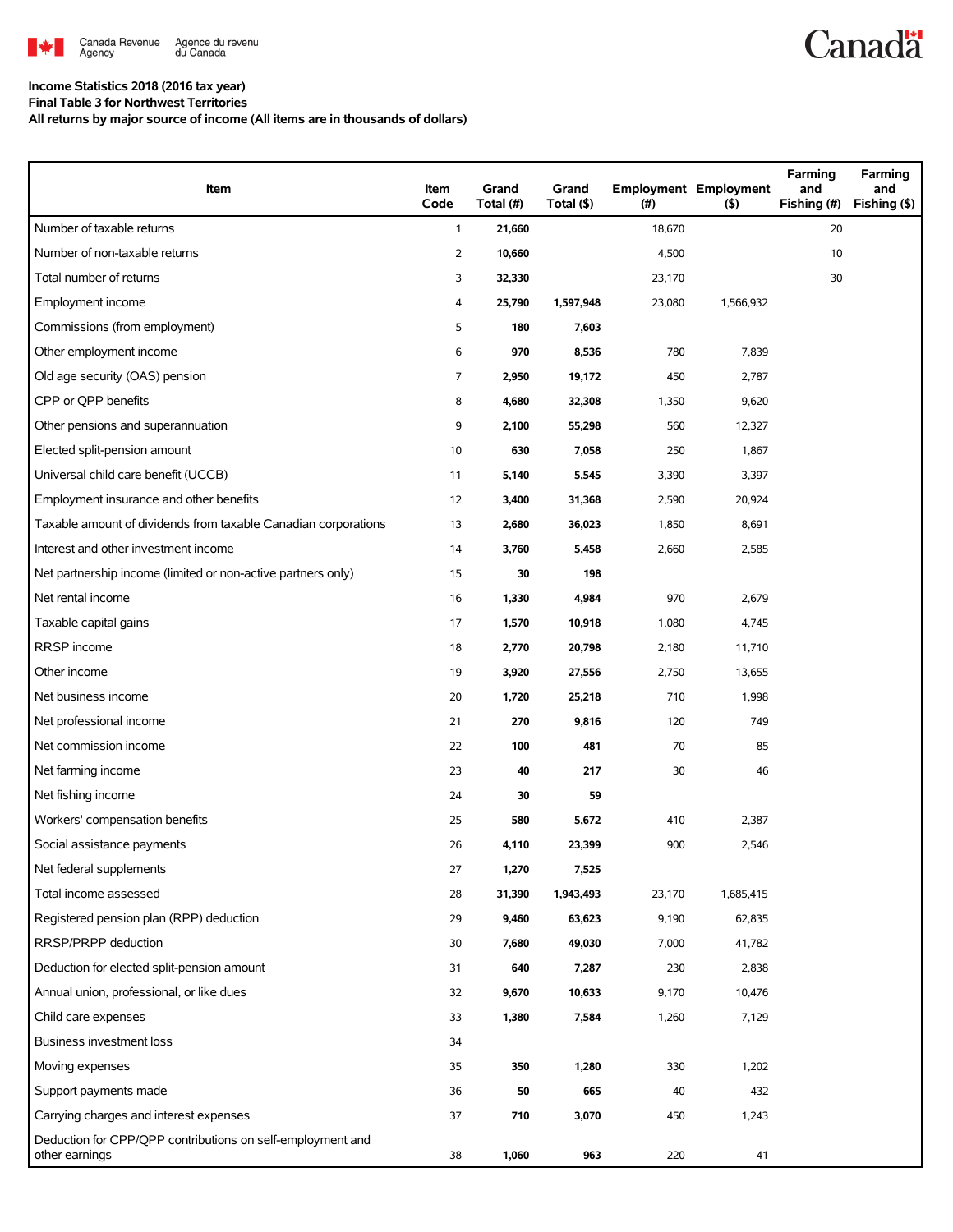

# **Canadä**

#### **Income Statistics 2018 (2016 tax year) Final Table 3 for Northwest Territories**

**All returns by major source of income (All items are in thousands of dollars)**

| Item                                                                         | Item<br>Code   | Grand<br>Total (#) | Grand<br>Total (\$) | (#)    | <b>Employment Employment</b><br>$($ \$) | Farming<br>and<br>Fishing (#) | Farming<br>and<br>Fishing (\$) |
|------------------------------------------------------------------------------|----------------|--------------------|---------------------|--------|-----------------------------------------|-------------------------------|--------------------------------|
| Number of taxable returns                                                    | $\mathbf{1}$   | 21,660             |                     | 18,670 |                                         | 20                            |                                |
| Number of non-taxable returns                                                | $\overline{2}$ | 10,660             |                     | 4,500  |                                         | 10                            |                                |
| Total number of returns                                                      | 3              | 32,330             |                     | 23,170 |                                         | 30                            |                                |
| Employment income                                                            | 4              | 25,790             | 1,597,948           | 23,080 | 1,566,932                               |                               |                                |
| Commissions (from employment)                                                | 5              | 180                | 7,603               |        |                                         |                               |                                |
| Other employment income                                                      | 6              | 970                | 8,536               | 780    | 7,839                                   |                               |                                |
| Old age security (OAS) pension                                               | 7              | 2,950              | 19,172              | 450    | 2,787                                   |                               |                                |
| CPP or QPP benefits                                                          | 8              | 4,680              | 32,308              | 1,350  | 9,620                                   |                               |                                |
| Other pensions and superannuation                                            | 9              | 2,100              | 55,298              | 560    | 12,327                                  |                               |                                |
| Elected split-pension amount                                                 | 10             | 630                | 7,058               | 250    | 1,867                                   |                               |                                |
| Universal child care benefit (UCCB)                                          | 11             | 5,140              | 5,545               | 3,390  | 3,397                                   |                               |                                |
| Employment insurance and other benefits                                      | 12             | 3,400              | 31,368              | 2,590  | 20,924                                  |                               |                                |
| Taxable amount of dividends from taxable Canadian corporations               | 13             | 2,680              | 36,023              | 1,850  | 8,691                                   |                               |                                |
| Interest and other investment income                                         | 14             | 3,760              | 5,458               | 2,660  | 2,585                                   |                               |                                |
| Net partnership income (limited or non-active partners only)                 | 15             | 30                 | 198                 |        |                                         |                               |                                |
| Net rental income                                                            | 16             | 1,330              | 4,984               | 970    | 2,679                                   |                               |                                |
| Taxable capital gains                                                        | 17             | 1,570              | 10,918              | 1,080  | 4,745                                   |                               |                                |
| <b>RRSP</b> income                                                           | 18             | 2,770              | 20,798              | 2,180  | 11,710                                  |                               |                                |
| Other income                                                                 | 19             | 3,920              | 27,556              | 2,750  | 13,655                                  |                               |                                |
| Net business income                                                          | 20             | 1,720              | 25,218              | 710    | 1,998                                   |                               |                                |
| Net professional income                                                      | 21             | 270                | 9,816               | 120    | 749                                     |                               |                                |
| Net commission income                                                        | 22             | 100                | 481                 | 70     | 85                                      |                               |                                |
| Net farming income                                                           | 23             | 40                 | 217                 | 30     | 46                                      |                               |                                |
| Net fishing income                                                           | 24             | 30                 | 59                  |        |                                         |                               |                                |
| Workers' compensation benefits                                               | 25             | 580                | 5,672               | 410    | 2,387                                   |                               |                                |
| Social assistance payments                                                   | 26             | 4,110              | 23,399              | 900    | 2,546                                   |                               |                                |
| Net federal supplements                                                      | 27             | 1,270              | 7,525               |        |                                         |                               |                                |
| Total income assessed                                                        | 28             | 31,390             | 1,943,493           | 23,170 | 1,685,415                               |                               |                                |
| Registered pension plan (RPP) deduction                                      | 29             | 9,460              | 63,623              | 9,190  | 62,835                                  |                               |                                |
| RRSP/PRPP deduction                                                          | 30             | 7,680              | 49,030              | 7,000  | 41,782                                  |                               |                                |
| Deduction for elected split-pension amount                                   | 31             | 640                | 7,287               | 230    | 2,838                                   |                               |                                |
| Annual union, professional, or like dues                                     | 32             | 9,670              | 10,633              | 9,170  | 10,476                                  |                               |                                |
| Child care expenses                                                          | 33             | 1,380              | 7,584               | 1,260  | 7,129                                   |                               |                                |
| Business investment loss                                                     | 34             |                    |                     |        |                                         |                               |                                |
| Moving expenses                                                              | 35             | 350                | 1,280               | 330    | 1,202                                   |                               |                                |
| Support payments made                                                        | 36             | 50                 | 665                 | 40     | 432                                     |                               |                                |
| Carrying charges and interest expenses                                       | 37             | 710                | 3,070               | 450    | 1,243                                   |                               |                                |
| Deduction for CPP/QPP contributions on self-employment and<br>other earnings | 38             | 1,060              | 963                 | 220    | 41                                      |                               |                                |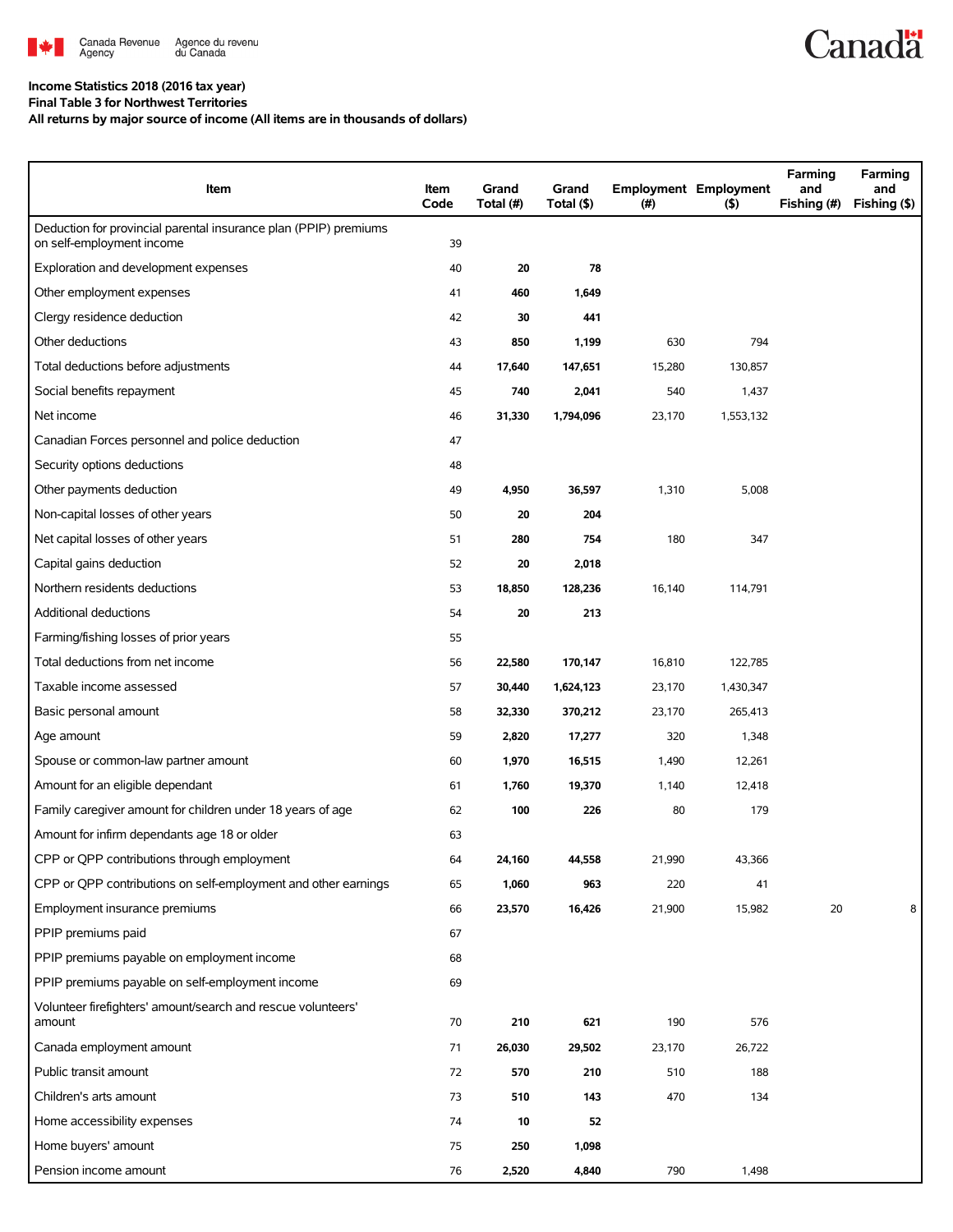

### **Income Statistics 2018 (2016 tax year)**

**Final Table 3 for Northwest Territories All returns by major source of income (All items are in thousands of dollars)**

| Item                                                                                          | Item<br>Code | Grand<br>Total (#) | Grand<br>Total (\$) | $(\#)$ | <b>Employment Employment</b><br>(5) | Farming<br>and<br>Fishing (#) | Farming<br>and<br>Fishing (\$) |
|-----------------------------------------------------------------------------------------------|--------------|--------------------|---------------------|--------|-------------------------------------|-------------------------------|--------------------------------|
| Deduction for provincial parental insurance plan (PPIP) premiums<br>on self-employment income | 39           |                    |                     |        |                                     |                               |                                |
| Exploration and development expenses                                                          | 40           | 20                 | 78                  |        |                                     |                               |                                |
| Other employment expenses                                                                     | 41           | 460                | 1,649               |        |                                     |                               |                                |
| Clergy residence deduction                                                                    | 42           | 30                 | 441                 |        |                                     |                               |                                |
| Other deductions                                                                              | 43           | 850                | 1,199               | 630    | 794                                 |                               |                                |
| Total deductions before adjustments                                                           | 44           | 17,640             | 147,651             | 15,280 | 130,857                             |                               |                                |
| Social benefits repayment                                                                     | 45           | 740                | 2,041               | 540    | 1,437                               |                               |                                |
| Net income                                                                                    | 46           | 31,330             | 1,794,096           | 23,170 | 1,553,132                           |                               |                                |
| Canadian Forces personnel and police deduction                                                | 47           |                    |                     |        |                                     |                               |                                |
| Security options deductions                                                                   | 48           |                    |                     |        |                                     |                               |                                |
| Other payments deduction                                                                      | 49           | 4,950              | 36,597              | 1,310  | 5,008                               |                               |                                |
| Non-capital losses of other years                                                             | 50           | 20                 | 204                 |        |                                     |                               |                                |
| Net capital losses of other years                                                             | 51           | 280                | 754                 | 180    | 347                                 |                               |                                |
| Capital gains deduction                                                                       | 52           | 20                 | 2,018               |        |                                     |                               |                                |
| Northern residents deductions                                                                 | 53           | 18,850             | 128,236             | 16,140 | 114,791                             |                               |                                |
| Additional deductions                                                                         | 54           | 20                 | 213                 |        |                                     |                               |                                |
| Farming/fishing losses of prior years                                                         | 55           |                    |                     |        |                                     |                               |                                |
| Total deductions from net income                                                              | 56           | 22,580             | 170,147             | 16,810 | 122,785                             |                               |                                |
| Taxable income assessed                                                                       | 57           | 30,440             | 1,624,123           | 23,170 | 1,430,347                           |                               |                                |
| Basic personal amount                                                                         | 58           | 32,330             | 370,212             | 23,170 | 265,413                             |                               |                                |
| Age amount                                                                                    | 59           | 2,820              | 17,277              | 320    | 1,348                               |                               |                                |
| Spouse or common-law partner amount                                                           | 60           | 1,970              | 16,515              | 1,490  | 12,261                              |                               |                                |
| Amount for an eligible dependant                                                              | 61           | 1,760              | 19,370              | 1,140  | 12,418                              |                               |                                |
| Family caregiver amount for children under 18 years of age                                    | 62           | 100                | 226                 | 80     | 179                                 |                               |                                |
| Amount for infirm dependants age 18 or older                                                  | 63           |                    |                     |        |                                     |                               |                                |
| CPP or QPP contributions through employment                                                   | 64           | 24,160             | 44,558              | 21,990 | 43,366                              |                               |                                |
| CPP or QPP contributions on self-employment and other earnings                                | 65           | 1,060              | 963                 | 220    | 41                                  |                               |                                |
| Employment insurance premiums                                                                 | 66           | 23,570             | 16,426              | 21,900 | 15,982                              | 20                            | 8                              |
| PPIP premiums paid                                                                            | 67           |                    |                     |        |                                     |                               |                                |
| PPIP premiums payable on employment income                                                    | 68           |                    |                     |        |                                     |                               |                                |
| PPIP premiums payable on self-employment income                                               | 69           |                    |                     |        |                                     |                               |                                |
| Volunteer firefighters' amount/search and rescue volunteers'<br>amount                        | 70           | 210                | 621                 | 190    | 576                                 |                               |                                |
| Canada employment amount                                                                      | 71           | 26,030             | 29,502              | 23,170 | 26,722                              |                               |                                |
| Public transit amount                                                                         | 72           | 570                | 210                 | 510    | 188                                 |                               |                                |
| Children's arts amount                                                                        | 73           | 510                | 143                 | 470    | 134                                 |                               |                                |
| Home accessibility expenses                                                                   | 74           | 10                 | 52                  |        |                                     |                               |                                |
| Home buyers' amount                                                                           | 75           | 250                | 1,098               |        |                                     |                               |                                |
| Pension income amount                                                                         | 76           | 2,520              | 4,840               | 790    | 1,498                               |                               |                                |

**Canadä**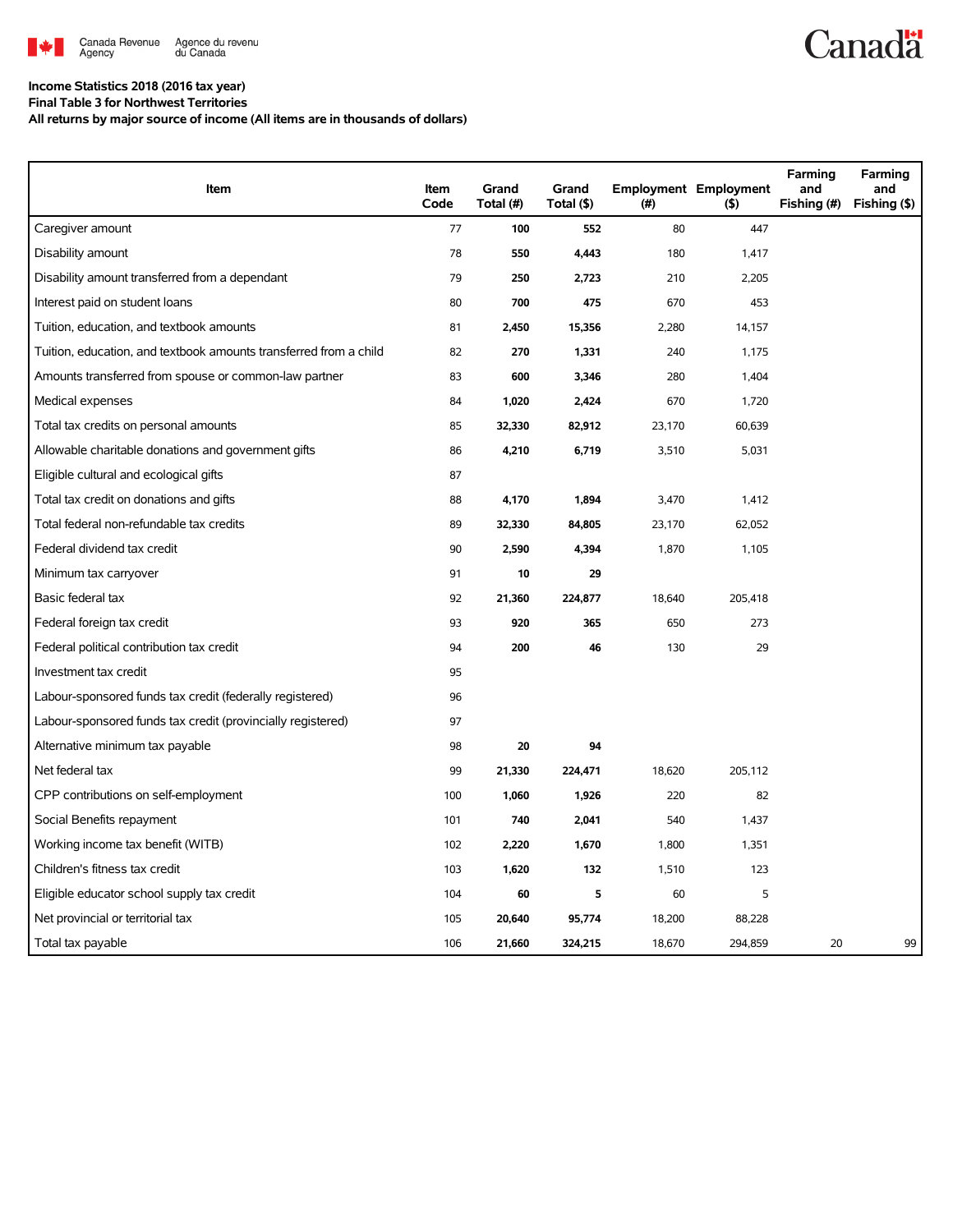

## **Canadä**

### **Income Statistics 2018 (2016 tax year)**

**Final Table 3 for Northwest Territories All returns by major source of income (All items are in thousands of dollars)**

| Item                                                              | Item<br>Code | Grand<br>Total (#) | Grand<br>Total (\$) | $(\#)$ | <b>Employment Employment</b><br>(5) | Farming<br>and<br>Fishing (#) | Farming<br>and<br>Fishing (\$) |
|-------------------------------------------------------------------|--------------|--------------------|---------------------|--------|-------------------------------------|-------------------------------|--------------------------------|
| Caregiver amount                                                  | 77           | 100                | 552                 | 80     | 447                                 |                               |                                |
| Disability amount                                                 | 78           | 550                | 4,443               | 180    | 1,417                               |                               |                                |
| Disability amount transferred from a dependant                    | 79           | 250                | 2,723               | 210    | 2,205                               |                               |                                |
| Interest paid on student loans                                    | 80           | 700                | 475                 | 670    | 453                                 |                               |                                |
| Tuition, education, and textbook amounts                          | 81           | 2,450              | 15,356              | 2,280  | 14,157                              |                               |                                |
| Tuition, education, and textbook amounts transferred from a child | 82           | 270                | 1,331               | 240    | 1,175                               |                               |                                |
| Amounts transferred from spouse or common-law partner             | 83           | 600                | 3,346               | 280    | 1,404                               |                               |                                |
| Medical expenses                                                  | 84           | 1,020              | 2,424               | 670    | 1,720                               |                               |                                |
| Total tax credits on personal amounts                             | 85           | 32,330             | 82,912              | 23,170 | 60,639                              |                               |                                |
| Allowable charitable donations and government gifts               | 86           | 4,210              | 6,719               | 3,510  | 5,031                               |                               |                                |
| Eligible cultural and ecological gifts                            | 87           |                    |                     |        |                                     |                               |                                |
| Total tax credit on donations and gifts                           | 88           | 4,170              | 1,894               | 3,470  | 1,412                               |                               |                                |
| Total federal non-refundable tax credits                          | 89           | 32,330             | 84,805              | 23,170 | 62,052                              |                               |                                |
| Federal dividend tax credit                                       | 90           | 2,590              | 4,394               | 1,870  | 1,105                               |                               |                                |
| Minimum tax carryover                                             | 91           | 10                 | 29                  |        |                                     |                               |                                |
| Basic federal tax                                                 | 92           | 21,360             | 224,877             | 18,640 | 205,418                             |                               |                                |
| Federal foreign tax credit                                        | 93           | 920                | 365                 | 650    | 273                                 |                               |                                |
| Federal political contribution tax credit                         | 94           | 200                | 46                  | 130    | 29                                  |                               |                                |
| Investment tax credit                                             | 95           |                    |                     |        |                                     |                               |                                |
| Labour-sponsored funds tax credit (federally registered)          | 96           |                    |                     |        |                                     |                               |                                |
| Labour-sponsored funds tax credit (provincially registered)       | 97           |                    |                     |        |                                     |                               |                                |
| Alternative minimum tax payable                                   | 98           | 20                 | 94                  |        |                                     |                               |                                |
| Net federal tax                                                   | 99           | 21,330             | 224,471             | 18,620 | 205,112                             |                               |                                |
| CPP contributions on self-employment                              | 100          | 1,060              | 1,926               | 220    | 82                                  |                               |                                |
| Social Benefits repayment                                         | 101          | 740                | 2,041               | 540    | 1,437                               |                               |                                |
| Working income tax benefit (WITB)                                 | 102          | 2,220              | 1,670               | 1,800  | 1,351                               |                               |                                |
| Children's fitness tax credit                                     | 103          | 1,620              | 132                 | 1,510  | 123                                 |                               |                                |
| Eligible educator school supply tax credit                        | 104          | 60                 | 5                   | 60     | 5                                   |                               |                                |
| Net provincial or territorial tax                                 | 105          | 20,640             | 95,774              | 18,200 | 88,228                              |                               |                                |
| Total tax payable                                                 | 106          | 21,660             | 324,215             | 18,670 | 294,859                             | 20                            | 99                             |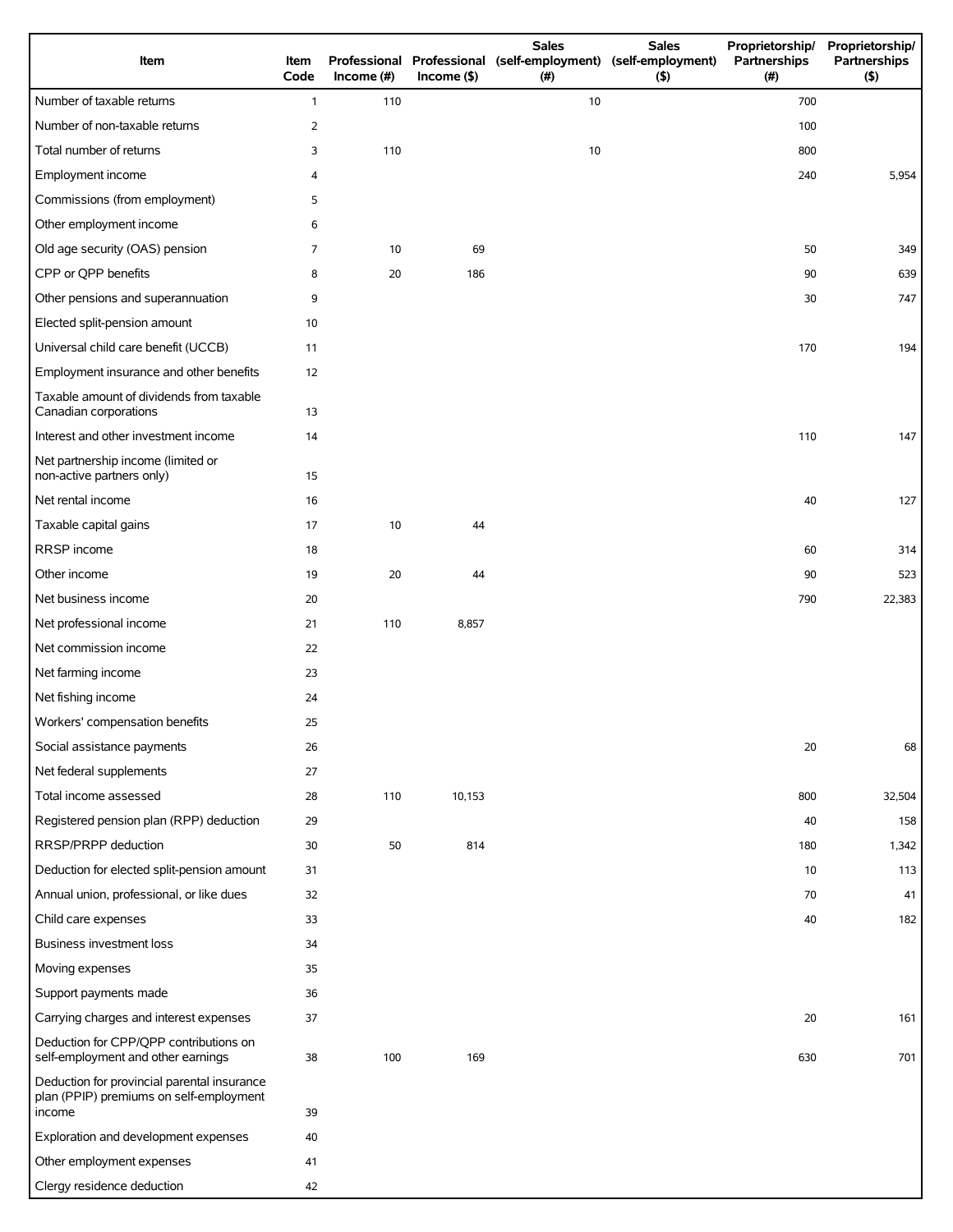| Item                                                                                             | Item<br>Code | Income $#)$ | $Income$ (\$) | <b>Sales</b><br>Professional Professional (self-employment) (self-employment)<br>(# ) | <b>Sales</b><br>(5) | Proprietorship/<br>Partnerships<br>(#) | Proprietorship/<br>Partnerships<br>(5) |
|--------------------------------------------------------------------------------------------------|--------------|-------------|---------------|---------------------------------------------------------------------------------------|---------------------|----------------------------------------|----------------------------------------|
| Number of taxable returns                                                                        | $\mathbf{1}$ | 110         |               | 10                                                                                    |                     | 700                                    |                                        |
| Number of non-taxable returns                                                                    | 2            |             |               |                                                                                       |                     | 100                                    |                                        |
| Total number of returns                                                                          | 3            | 110         |               | 10                                                                                    |                     | 800                                    |                                        |
| Employment income                                                                                | 4            |             |               |                                                                                       |                     | 240                                    | 5,954                                  |
| Commissions (from employment)                                                                    | 5            |             |               |                                                                                       |                     |                                        |                                        |
| Other employment income                                                                          | 6            |             |               |                                                                                       |                     |                                        |                                        |
| Old age security (OAS) pension                                                                   | 7            | 10          | 69            |                                                                                       |                     | 50                                     | 349                                    |
| CPP or QPP benefits                                                                              | 8            | 20          | 186           |                                                                                       |                     | 90                                     | 639                                    |
| Other pensions and superannuation                                                                | 9            |             |               |                                                                                       |                     | 30                                     | 747                                    |
| Elected split-pension amount                                                                     | 10           |             |               |                                                                                       |                     |                                        |                                        |
| Universal child care benefit (UCCB)                                                              | 11           |             |               |                                                                                       |                     | 170                                    | 194                                    |
| Employment insurance and other benefits                                                          | 12           |             |               |                                                                                       |                     |                                        |                                        |
| Taxable amount of dividends from taxable<br>Canadian corporations                                | 13           |             |               |                                                                                       |                     |                                        |                                        |
| Interest and other investment income                                                             | 14           |             |               |                                                                                       |                     | 110                                    | 147                                    |
| Net partnership income (limited or<br>non-active partners only)                                  | 15           |             |               |                                                                                       |                     |                                        |                                        |
| Net rental income                                                                                | 16           |             |               |                                                                                       |                     | 40                                     | 127                                    |
| Taxable capital gains                                                                            | 17           | 10          | 44            |                                                                                       |                     |                                        |                                        |
| RRSP income                                                                                      | 18           |             |               |                                                                                       |                     | 60                                     | 314                                    |
| Other income                                                                                     | 19           | 20          | 44            |                                                                                       |                     | 90                                     | 523                                    |
| Net business income                                                                              | 20           |             |               |                                                                                       |                     | 790                                    | 22,383                                 |
| Net professional income                                                                          | 21           | 110         | 8,857         |                                                                                       |                     |                                        |                                        |
| Net commission income                                                                            | 22           |             |               |                                                                                       |                     |                                        |                                        |
| Net farming income                                                                               | 23           |             |               |                                                                                       |                     |                                        |                                        |
| Net fishing income                                                                               | 24           |             |               |                                                                                       |                     |                                        |                                        |
| Workers' compensation benefits                                                                   | 25           |             |               |                                                                                       |                     |                                        |                                        |
| Social assistance payments                                                                       | 26           |             |               |                                                                                       |                     | 20                                     | 68                                     |
| Net federal supplements                                                                          | 27           |             |               |                                                                                       |                     |                                        |                                        |
| Total income assessed                                                                            | 28           | 110         | 10,153        |                                                                                       |                     | 800                                    | 32,504                                 |
| Registered pension plan (RPP) deduction                                                          | 29           |             |               |                                                                                       |                     | 40                                     | 158                                    |
| RRSP/PRPP deduction                                                                              | 30           | 50          | 814           |                                                                                       |                     | 180                                    | 1,342                                  |
| Deduction for elected split-pension amount                                                       | 31           |             |               |                                                                                       |                     | 10                                     | 113                                    |
| Annual union, professional, or like dues                                                         | 32           |             |               |                                                                                       |                     | 70                                     | 41                                     |
| Child care expenses                                                                              | 33           |             |               |                                                                                       |                     | 40                                     | 182                                    |
| <b>Business investment loss</b>                                                                  | 34           |             |               |                                                                                       |                     |                                        |                                        |
| Moving expenses                                                                                  | 35           |             |               |                                                                                       |                     |                                        |                                        |
| Support payments made                                                                            | 36           |             |               |                                                                                       |                     |                                        |                                        |
| Carrying charges and interest expenses                                                           | 37           |             |               |                                                                                       |                     | 20                                     | 161                                    |
| Deduction for CPP/QPP contributions on<br>self-employment and other earnings                     | 38           | 100         | 169           |                                                                                       |                     | 630                                    | 701                                    |
| Deduction for provincial parental insurance<br>plan (PPIP) premiums on self-employment<br>income | 39           |             |               |                                                                                       |                     |                                        |                                        |
| Exploration and development expenses                                                             | 40           |             |               |                                                                                       |                     |                                        |                                        |
| Other employment expenses                                                                        | 41           |             |               |                                                                                       |                     |                                        |                                        |
| Clergy residence deduction                                                                       | 42           |             |               |                                                                                       |                     |                                        |                                        |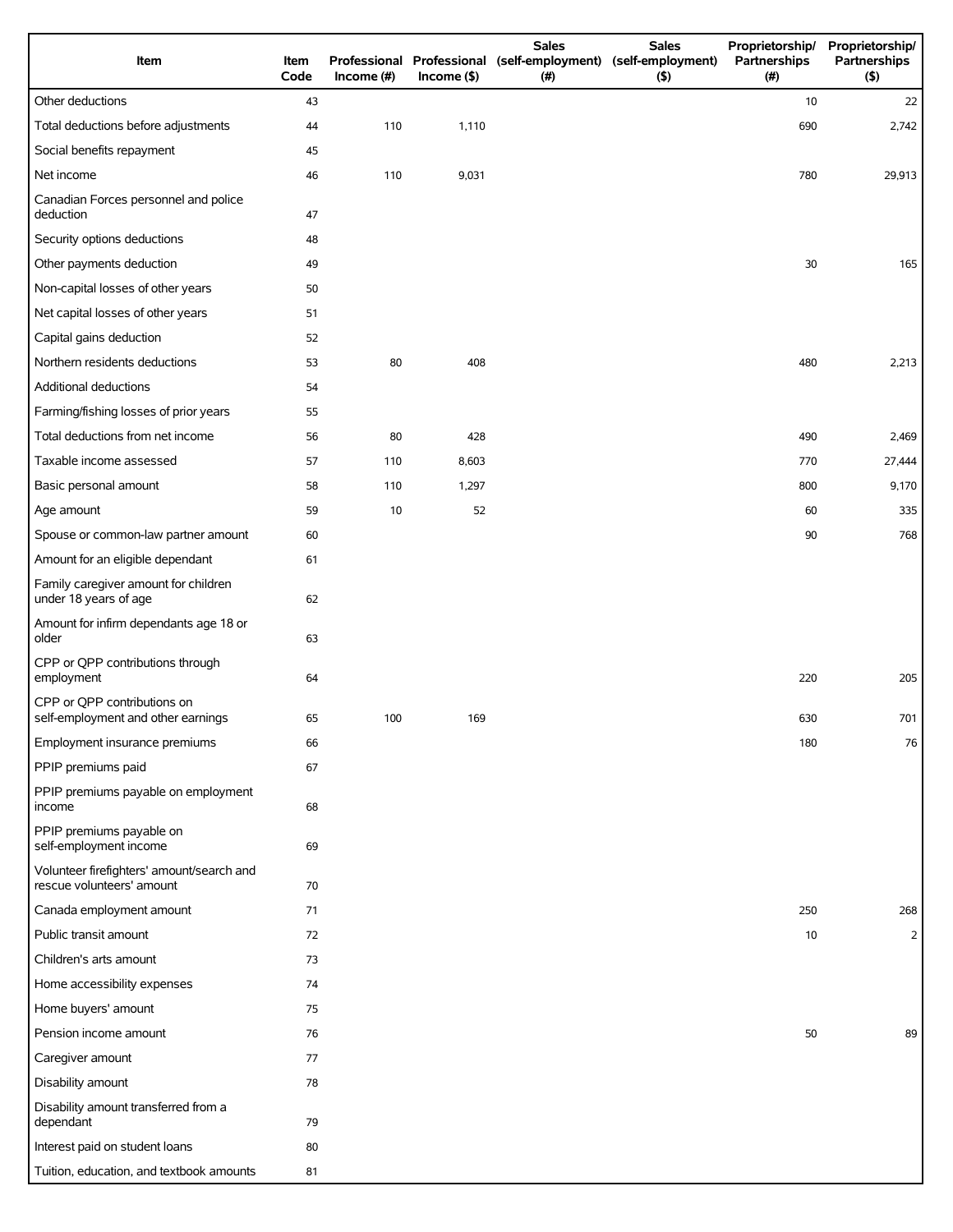| Item                                                                   | Item<br>Code | Income $(\#)$ | $Income$ (\$) | <b>Sales</b><br>Professional Professional (self-employment) (self-employment)<br>(#) | <b>Sales</b><br>(5) | Proprietorship/<br>Partnerships<br>(# ) | Proprietorship/<br>Partnerships<br>(5) |
|------------------------------------------------------------------------|--------------|---------------|---------------|--------------------------------------------------------------------------------------|---------------------|-----------------------------------------|----------------------------------------|
| Other deductions                                                       | 43           |               |               |                                                                                      |                     | 10                                      | 22                                     |
| Total deductions before adjustments                                    | 44           | 110           | 1,110         |                                                                                      |                     | 690                                     | 2,742                                  |
| Social benefits repayment                                              | 45           |               |               |                                                                                      |                     |                                         |                                        |
| Net income                                                             | 46           | 110           | 9,031         |                                                                                      |                     | 780                                     | 29,913                                 |
| Canadian Forces personnel and police<br>deduction                      | 47           |               |               |                                                                                      |                     |                                         |                                        |
| Security options deductions                                            | 48           |               |               |                                                                                      |                     |                                         |                                        |
| Other payments deduction                                               | 49           |               |               |                                                                                      |                     | 30                                      | 165                                    |
| Non-capital losses of other years                                      | 50           |               |               |                                                                                      |                     |                                         |                                        |
| Net capital losses of other years                                      | 51           |               |               |                                                                                      |                     |                                         |                                        |
| Capital gains deduction                                                | 52           |               |               |                                                                                      |                     |                                         |                                        |
| Northern residents deductions                                          | 53           | 80            | 408           |                                                                                      |                     | 480                                     | 2,213                                  |
| Additional deductions                                                  | 54           |               |               |                                                                                      |                     |                                         |                                        |
| Farming/fishing losses of prior years                                  | 55           |               |               |                                                                                      |                     |                                         |                                        |
| Total deductions from net income                                       | 56           | 80            | 428           |                                                                                      |                     | 490                                     | 2,469                                  |
| Taxable income assessed                                                | 57           | 110           | 8,603         |                                                                                      |                     | 770                                     | 27,444                                 |
| Basic personal amount                                                  | 58           | 110           | 1,297         |                                                                                      |                     | 800                                     | 9,170                                  |
| Age amount                                                             | 59           | 10            | 52            |                                                                                      |                     | 60                                      | 335                                    |
| Spouse or common-law partner amount                                    | 60           |               |               |                                                                                      |                     | 90                                      | 768                                    |
| Amount for an eligible dependant                                       | 61           |               |               |                                                                                      |                     |                                         |                                        |
| Family caregiver amount for children<br>under 18 years of age          | 62           |               |               |                                                                                      |                     |                                         |                                        |
| Amount for infirm dependants age 18 or<br>older                        | 63           |               |               |                                                                                      |                     |                                         |                                        |
| CPP or QPP contributions through<br>employment                         | 64           |               |               |                                                                                      |                     | 220                                     | 205                                    |
| CPP or QPP contributions on<br>self-employment and other earnings      | 65           | 100           | 169           |                                                                                      |                     | 630                                     | 701                                    |
| Employment insurance premiums                                          | 66           |               |               |                                                                                      |                     | 180                                     | 76                                     |
| PPIP premiums paid                                                     | 67           |               |               |                                                                                      |                     |                                         |                                        |
| PPIP premiums payable on employment<br>income                          | 68           |               |               |                                                                                      |                     |                                         |                                        |
| PPIP premiums payable on<br>self-employment income                     | 69           |               |               |                                                                                      |                     |                                         |                                        |
| Volunteer firefighters' amount/search and<br>rescue volunteers' amount | 70           |               |               |                                                                                      |                     |                                         |                                        |
| Canada employment amount                                               | 71           |               |               |                                                                                      |                     | 250                                     | 268                                    |
| Public transit amount                                                  | 72           |               |               |                                                                                      |                     | 10                                      | $\overline{2}$                         |
| Children's arts amount                                                 | 73           |               |               |                                                                                      |                     |                                         |                                        |
| Home accessibility expenses                                            | 74           |               |               |                                                                                      |                     |                                         |                                        |
| Home buyers' amount                                                    | 75           |               |               |                                                                                      |                     |                                         |                                        |
| Pension income amount                                                  | 76           |               |               |                                                                                      |                     | 50                                      | 89                                     |
| Caregiver amount                                                       | 77           |               |               |                                                                                      |                     |                                         |                                        |
| Disability amount                                                      | 78           |               |               |                                                                                      |                     |                                         |                                        |
| Disability amount transferred from a<br>dependant                      | 79           |               |               |                                                                                      |                     |                                         |                                        |
| Interest paid on student loans                                         | 80           |               |               |                                                                                      |                     |                                         |                                        |
| Tuition, education, and textbook amounts                               | 81           |               |               |                                                                                      |                     |                                         |                                        |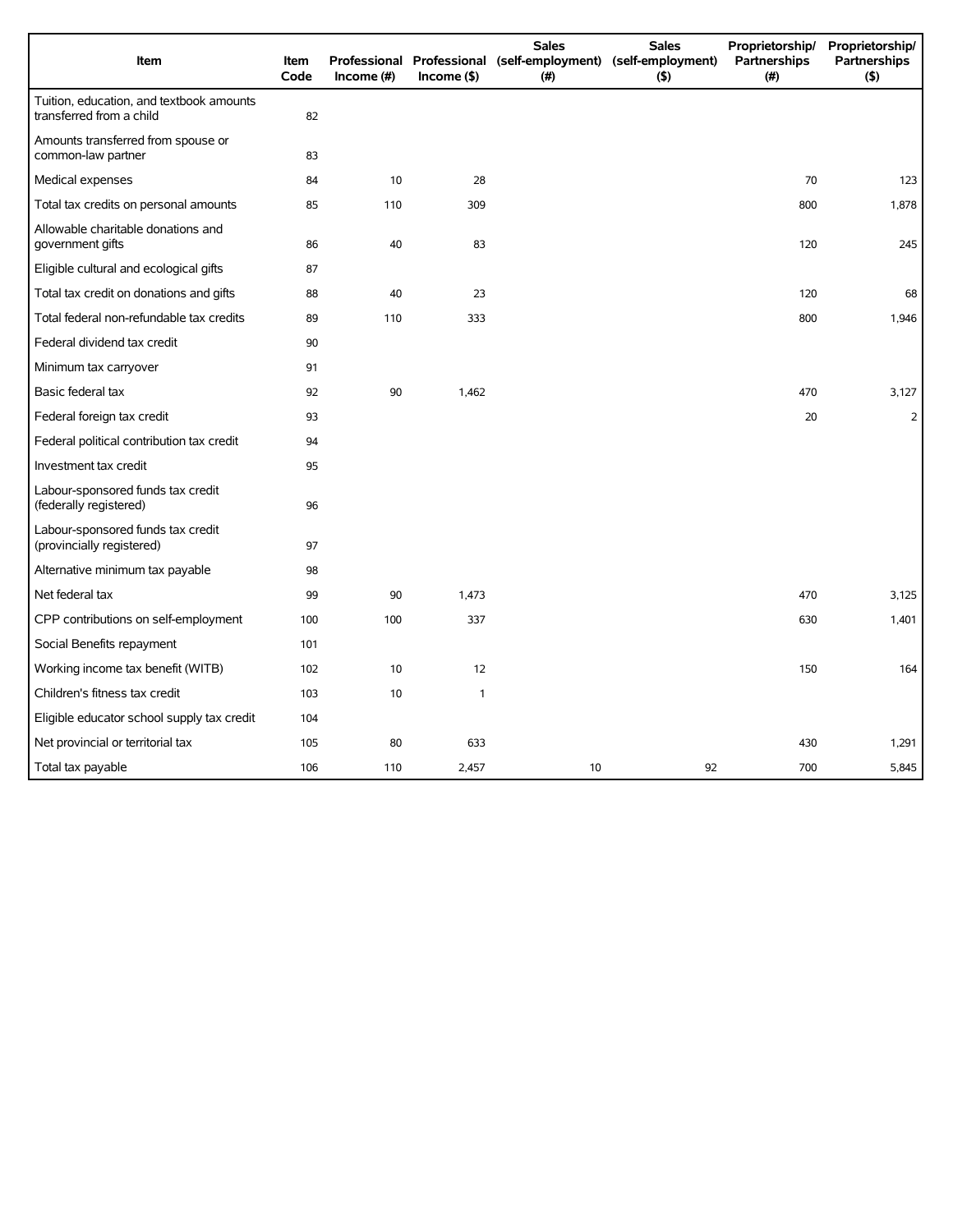| Item                                                                 | <b>Item</b><br>Code | Income (#) | $Income($ \$) | <b>Sales</b><br>Professional Professional (self-employment) (self-employment)<br>(#) | <b>Sales</b><br>$($ \$) | Proprietorship/<br>Partnerships<br>(#) | Proprietorship/<br>Partnerships<br>(5) |
|----------------------------------------------------------------------|---------------------|------------|---------------|--------------------------------------------------------------------------------------|-------------------------|----------------------------------------|----------------------------------------|
| Tuition, education, and textbook amounts<br>transferred from a child | 82                  |            |               |                                                                                      |                         |                                        |                                        |
| Amounts transferred from spouse or<br>common-law partner             | 83                  |            |               |                                                                                      |                         |                                        |                                        |
| Medical expenses                                                     | 84                  | 10         | 28            |                                                                                      |                         | 70                                     | 123                                    |
| Total tax credits on personal amounts                                | 85                  | 110        | 309           |                                                                                      |                         | 800                                    | 1,878                                  |
| Allowable charitable donations and<br>government gifts               | 86                  | 40         | 83            |                                                                                      |                         | 120                                    | 245                                    |
| Eligible cultural and ecological gifts                               | 87                  |            |               |                                                                                      |                         |                                        |                                        |
| Total tax credit on donations and gifts                              | 88                  | 40         | 23            |                                                                                      |                         | 120                                    | 68                                     |
| Total federal non-refundable tax credits                             | 89                  | 110        | 333           |                                                                                      |                         | 800                                    | 1,946                                  |
| Federal dividend tax credit                                          | 90                  |            |               |                                                                                      |                         |                                        |                                        |
| Minimum tax carryover                                                | 91                  |            |               |                                                                                      |                         |                                        |                                        |
| Basic federal tax                                                    | 92                  | 90         | 1,462         |                                                                                      |                         | 470                                    | 3,127                                  |
| Federal foreign tax credit                                           | 93                  |            |               |                                                                                      |                         | 20                                     | $\overline{2}$                         |
| Federal political contribution tax credit                            | 94                  |            |               |                                                                                      |                         |                                        |                                        |
| Investment tax credit                                                | 95                  |            |               |                                                                                      |                         |                                        |                                        |
| Labour-sponsored funds tax credit<br>(federally registered)          | 96                  |            |               |                                                                                      |                         |                                        |                                        |
| Labour-sponsored funds tax credit<br>(provincially registered)       | 97                  |            |               |                                                                                      |                         |                                        |                                        |
| Alternative minimum tax payable                                      | 98                  |            |               |                                                                                      |                         |                                        |                                        |
| Net federal tax                                                      | 99                  | 90         | 1,473         |                                                                                      |                         | 470                                    | 3,125                                  |
| CPP contributions on self-employment                                 | 100                 | 100        | 337           |                                                                                      |                         | 630                                    | 1,401                                  |
| Social Benefits repayment                                            | 101                 |            |               |                                                                                      |                         |                                        |                                        |
| Working income tax benefit (WITB)                                    | 102                 | 10         | 12            |                                                                                      |                         | 150                                    | 164                                    |
| Children's fitness tax credit                                        | 103                 | 10         | $\mathbf{1}$  |                                                                                      |                         |                                        |                                        |
| Eligible educator school supply tax credit                           | 104                 |            |               |                                                                                      |                         |                                        |                                        |
| Net provincial or territorial tax                                    | 105                 | 80         | 633           |                                                                                      |                         | 430                                    | 1,291                                  |
| Total tax payable                                                    | 106                 | 110        | 2,457         | 10                                                                                   | 92                      | 700                                    | 5,845                                  |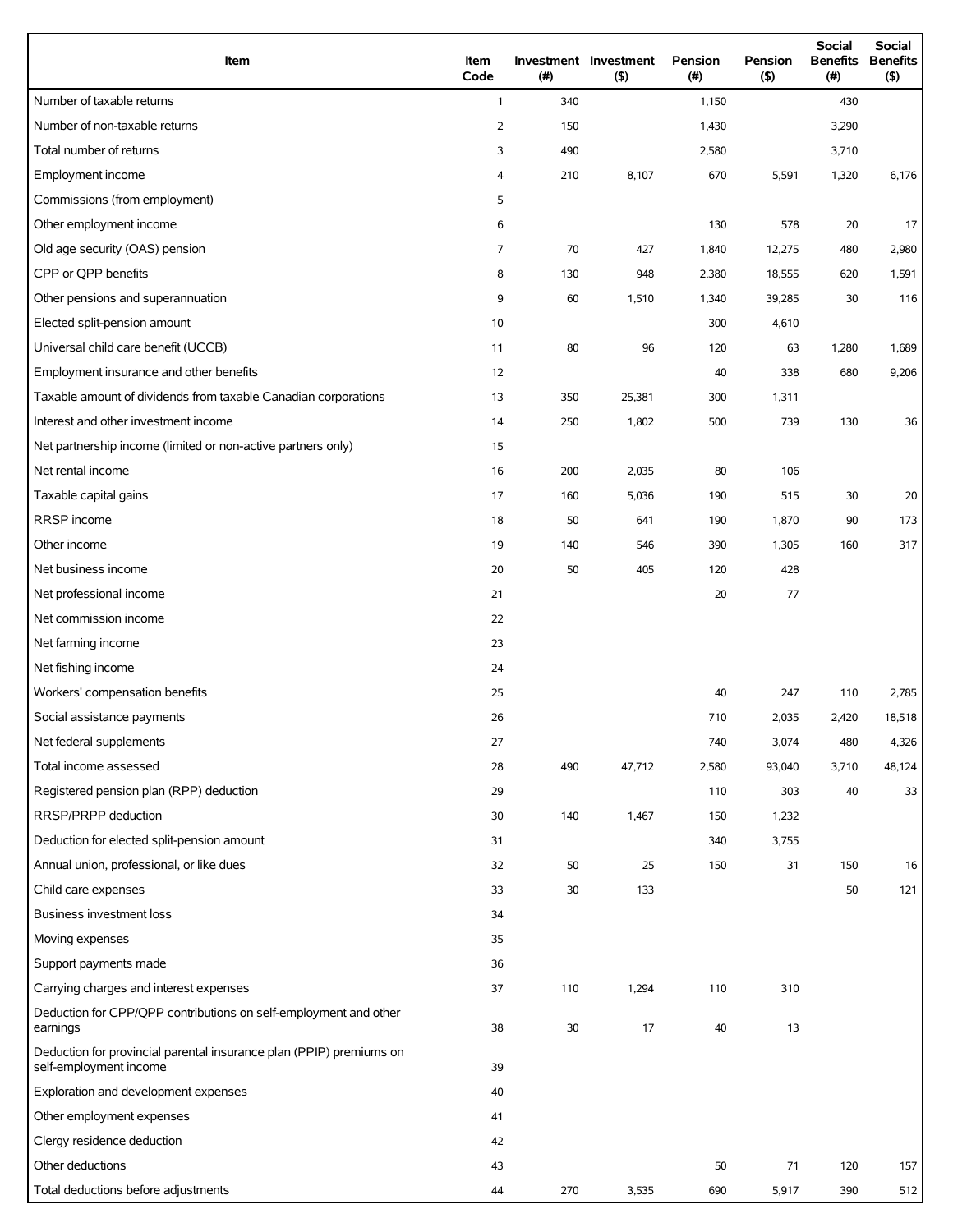| Item                                                                                          | Item<br>Code   | (#) | Investment Investment<br>$($ \$) | Pension<br>(# ) | Pension<br>$($ \$) | <b>Social</b><br><b>Benefits</b><br>(#) | Social<br><b>Benefits</b><br>$($ \$) |
|-----------------------------------------------------------------------------------------------|----------------|-----|----------------------------------|-----------------|--------------------|-----------------------------------------|--------------------------------------|
| Number of taxable returns                                                                     | $\mathbf{1}$   | 340 |                                  | 1,150           |                    | 430                                     |                                      |
| Number of non-taxable returns                                                                 | $\overline{2}$ | 150 |                                  | 1,430           |                    | 3,290                                   |                                      |
| Total number of returns                                                                       | 3              | 490 |                                  | 2,580           |                    | 3,710                                   |                                      |
| Employment income                                                                             | 4              | 210 | 8,107                            | 670             | 5,591              | 1,320                                   | 6,176                                |
| Commissions (from employment)                                                                 | 5              |     |                                  |                 |                    |                                         |                                      |
| Other employment income                                                                       | 6              |     |                                  | 130             | 578                | 20                                      | 17                                   |
| Old age security (OAS) pension                                                                | $\overline{7}$ | 70  | 427                              | 1,840           | 12,275             | 480                                     | 2,980                                |
| CPP or QPP benefits                                                                           | 8              | 130 | 948                              | 2,380           | 18,555             | 620                                     | 1,591                                |
| Other pensions and superannuation                                                             | 9              | 60  | 1,510                            | 1,340           | 39,285             | 30                                      | 116                                  |
| Elected split-pension amount                                                                  | 10             |     |                                  | 300             | 4,610              |                                         |                                      |
| Universal child care benefit (UCCB)                                                           | 11             | 80  | 96                               | 120             | 63                 | 1,280                                   | 1,689                                |
| Employment insurance and other benefits                                                       | 12             |     |                                  | 40              | 338                | 680                                     | 9,206                                |
| Taxable amount of dividends from taxable Canadian corporations                                | 13             | 350 | 25,381                           | 300             | 1,311              |                                         |                                      |
| Interest and other investment income                                                          | 14             | 250 | 1,802                            | 500             | 739                | 130                                     | 36                                   |
| Net partnership income (limited or non-active partners only)                                  | 15             |     |                                  |                 |                    |                                         |                                      |
| Net rental income                                                                             | 16             | 200 | 2,035                            | 80              | 106                |                                         |                                      |
| Taxable capital gains                                                                         | 17             | 160 | 5,036                            | 190             | 515                | 30                                      | 20                                   |
| RRSP income                                                                                   | 18             | 50  | 641                              | 190             | 1,870              | 90                                      | 173                                  |
| Other income                                                                                  | 19             | 140 | 546                              | 390             | 1,305              | 160                                     | 317                                  |
| Net business income                                                                           | 20             | 50  | 405                              | 120             | 428                |                                         |                                      |
| Net professional income                                                                       | 21             |     |                                  | 20              | 77                 |                                         |                                      |
| Net commission income                                                                         | 22             |     |                                  |                 |                    |                                         |                                      |
| Net farming income                                                                            | 23             |     |                                  |                 |                    |                                         |                                      |
| Net fishing income                                                                            | 24             |     |                                  |                 |                    |                                         |                                      |
| Workers' compensation benefits                                                                | 25             |     |                                  | 40              | 247                | 110                                     | 2,785                                |
| Social assistance payments                                                                    | 26             |     |                                  | 710             | 2,035              | 2,420                                   | 18,518                               |
| Net federal supplements                                                                       | 27             |     |                                  | 740             | 3,074              | 480                                     | 4,326                                |
| Total income assessed                                                                         | 28             | 490 | 47,712                           | 2,580           | 93,040             | 3,710                                   | 48,124                               |
| Registered pension plan (RPP) deduction                                                       | 29             |     |                                  | 110             | 303                | 40                                      | 33                                   |
| RRSP/PRPP deduction                                                                           | 30             | 140 | 1,467                            | 150             | 1,232              |                                         |                                      |
| Deduction for elected split-pension amount                                                    | 31             |     |                                  | 340             | 3,755              |                                         |                                      |
| Annual union, professional, or like dues                                                      | 32             | 50  | 25                               | 150             | 31                 | 150                                     | 16                                   |
| Child care expenses                                                                           | 33             | 30  | 133                              |                 |                    | 50                                      | 121                                  |
| Business investment loss                                                                      | 34             |     |                                  |                 |                    |                                         |                                      |
| Moving expenses                                                                               | 35             |     |                                  |                 |                    |                                         |                                      |
| Support payments made                                                                         | 36             |     |                                  |                 |                    |                                         |                                      |
| Carrying charges and interest expenses                                                        | 37             | 110 | 1,294                            | 110             | 310                |                                         |                                      |
| Deduction for CPP/QPP contributions on self-employment and other<br>earnings                  | 38             | 30  | 17                               | 40              | 13                 |                                         |                                      |
| Deduction for provincial parental insurance plan (PPIP) premiums on<br>self-employment income | 39             |     |                                  |                 |                    |                                         |                                      |
| Exploration and development expenses                                                          | 40             |     |                                  |                 |                    |                                         |                                      |
| Other employment expenses                                                                     | 41             |     |                                  |                 |                    |                                         |                                      |
| Clergy residence deduction                                                                    | 42             |     |                                  |                 |                    |                                         |                                      |
| Other deductions                                                                              | 43             |     |                                  | 50              | 71                 | 120                                     | 157                                  |
| Total deductions before adjustments                                                           | 44             | 270 | 3,535                            | 690             | 5,917              | 390                                     | 512                                  |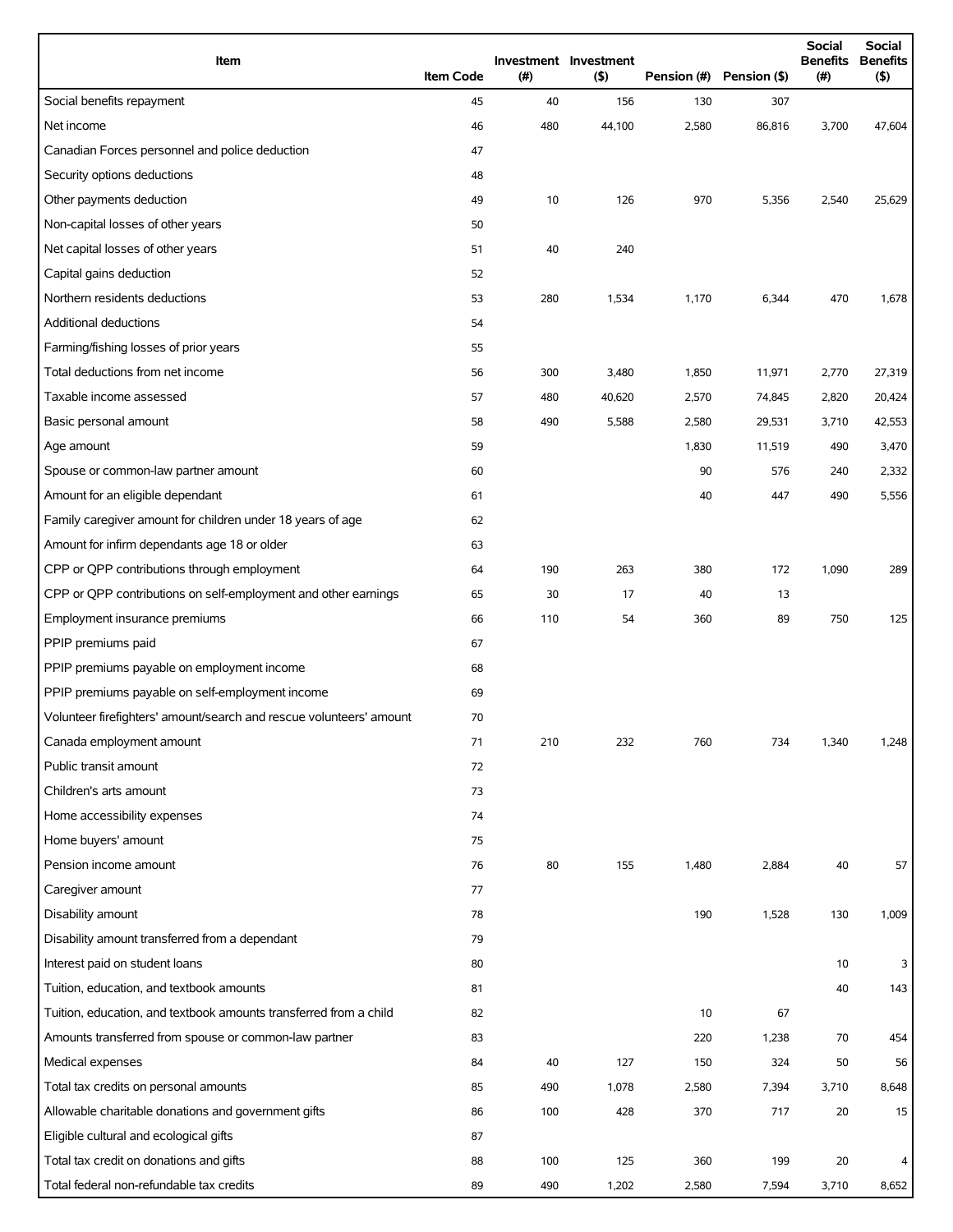| Item                                                                | <b>Item Code</b> | (# ) | Investment Investment<br>(5) | Pension (#) | Pension (\$) | <b>Social</b><br><b>Benefits</b><br>(#) | <b>Social</b><br><b>Benefits</b><br>(5) |
|---------------------------------------------------------------------|------------------|------|------------------------------|-------------|--------------|-----------------------------------------|-----------------------------------------|
| Social benefits repayment                                           | 45               | 40   | 156                          | 130         | 307          |                                         |                                         |
| Net income                                                          | 46               | 480  | 44,100                       | 2,580       | 86,816       | 3,700                                   | 47,604                                  |
| Canadian Forces personnel and police deduction                      | 47               |      |                              |             |              |                                         |                                         |
| Security options deductions                                         | 48               |      |                              |             |              |                                         |                                         |
| Other payments deduction                                            | 49               | 10   | 126                          | 970         | 5,356        | 2,540                                   | 25,629                                  |
| Non-capital losses of other years                                   | 50               |      |                              |             |              |                                         |                                         |
| Net capital losses of other years                                   | 51               | 40   | 240                          |             |              |                                         |                                         |
| Capital gains deduction                                             | 52               |      |                              |             |              |                                         |                                         |
| Northern residents deductions                                       | 53               | 280  | 1,534                        | 1,170       | 6,344        | 470                                     | 1,678                                   |
| Additional deductions                                               | 54               |      |                              |             |              |                                         |                                         |
| Farming/fishing losses of prior years                               | 55               |      |                              |             |              |                                         |                                         |
| Total deductions from net income                                    | 56               | 300  | 3,480                        | 1,850       | 11,971       | 2,770                                   | 27,319                                  |
| Taxable income assessed                                             | 57               | 480  | 40,620                       | 2,570       | 74,845       | 2,820                                   | 20,424                                  |
| Basic personal amount                                               | 58               | 490  | 5,588                        | 2,580       | 29,531       | 3,710                                   | 42,553                                  |
| Age amount                                                          | 59               |      |                              | 1,830       | 11,519       | 490                                     | 3,470                                   |
| Spouse or common-law partner amount                                 | 60               |      |                              | 90          | 576          | 240                                     | 2,332                                   |
| Amount for an eligible dependant                                    | 61               |      |                              | 40          | 447          | 490                                     | 5,556                                   |
| Family caregiver amount for children under 18 years of age          | 62               |      |                              |             |              |                                         |                                         |
| Amount for infirm dependants age 18 or older                        | 63               |      |                              |             |              |                                         |                                         |
| CPP or QPP contributions through employment                         | 64               | 190  | 263                          | 380         | 172          | 1,090                                   | 289                                     |
| CPP or QPP contributions on self-employment and other earnings      | 65               | 30   | 17                           | 40          | 13           |                                         |                                         |
| Employment insurance premiums                                       | 66               | 110  | 54                           | 360         | 89           | 750                                     | 125                                     |
| PPIP premiums paid                                                  | 67               |      |                              |             |              |                                         |                                         |
| PPIP premiums payable on employment income                          | 68               |      |                              |             |              |                                         |                                         |
| PPIP premiums payable on self-employment income                     | 69               |      |                              |             |              |                                         |                                         |
| Volunteer firefighters' amount/search and rescue volunteers' amount | 70               |      |                              |             |              |                                         |                                         |
| Canada employment amount                                            | 71               | 210  | 232                          | 760         | 734          | 1,340                                   | 1,248                                   |
| Public transit amount                                               | 72               |      |                              |             |              |                                         |                                         |
| Children's arts amount                                              | 73               |      |                              |             |              |                                         |                                         |
| Home accessibility expenses                                         | 74               |      |                              |             |              |                                         |                                         |
| Home buyers' amount                                                 | 75               |      |                              |             |              |                                         |                                         |
| Pension income amount                                               | 76               | 80   | 155                          | 1,480       | 2,884        | 40                                      | 57                                      |
| Caregiver amount                                                    | 77               |      |                              |             |              |                                         |                                         |
| Disability amount                                                   | 78               |      |                              | 190         | 1,528        | 130                                     | 1,009                                   |
| Disability amount transferred from a dependant                      | 79               |      |                              |             |              |                                         |                                         |
| Interest paid on student loans                                      | 80               |      |                              |             |              | 10                                      | 3                                       |
| Tuition, education, and textbook amounts                            | 81               |      |                              |             |              | 40                                      | 143                                     |
| Tuition, education, and textbook amounts transferred from a child   | 82               |      |                              | 10          | 67           |                                         |                                         |
| Amounts transferred from spouse or common-law partner               | 83               |      |                              | 220         | 1,238        | 70                                      | 454                                     |
| Medical expenses                                                    | 84               | 40   | 127                          | 150         | 324          | 50                                      | 56                                      |
| Total tax credits on personal amounts                               | 85               | 490  | 1,078                        | 2,580       | 7,394        | 3,710                                   | 8,648                                   |
| Allowable charitable donations and government gifts                 | 86               | 100  | 428                          | 370         | 717          | 20                                      | 15                                      |
| Eligible cultural and ecological gifts                              | 87               |      |                              |             |              |                                         |                                         |
| Total tax credit on donations and gifts                             | 88               | 100  | 125                          | 360         | 199          | 20                                      | 4                                       |
| Total federal non-refundable tax credits                            | 89               | 490  | 1,202                        | 2,580       | 7,594        | 3,710                                   | 8,652                                   |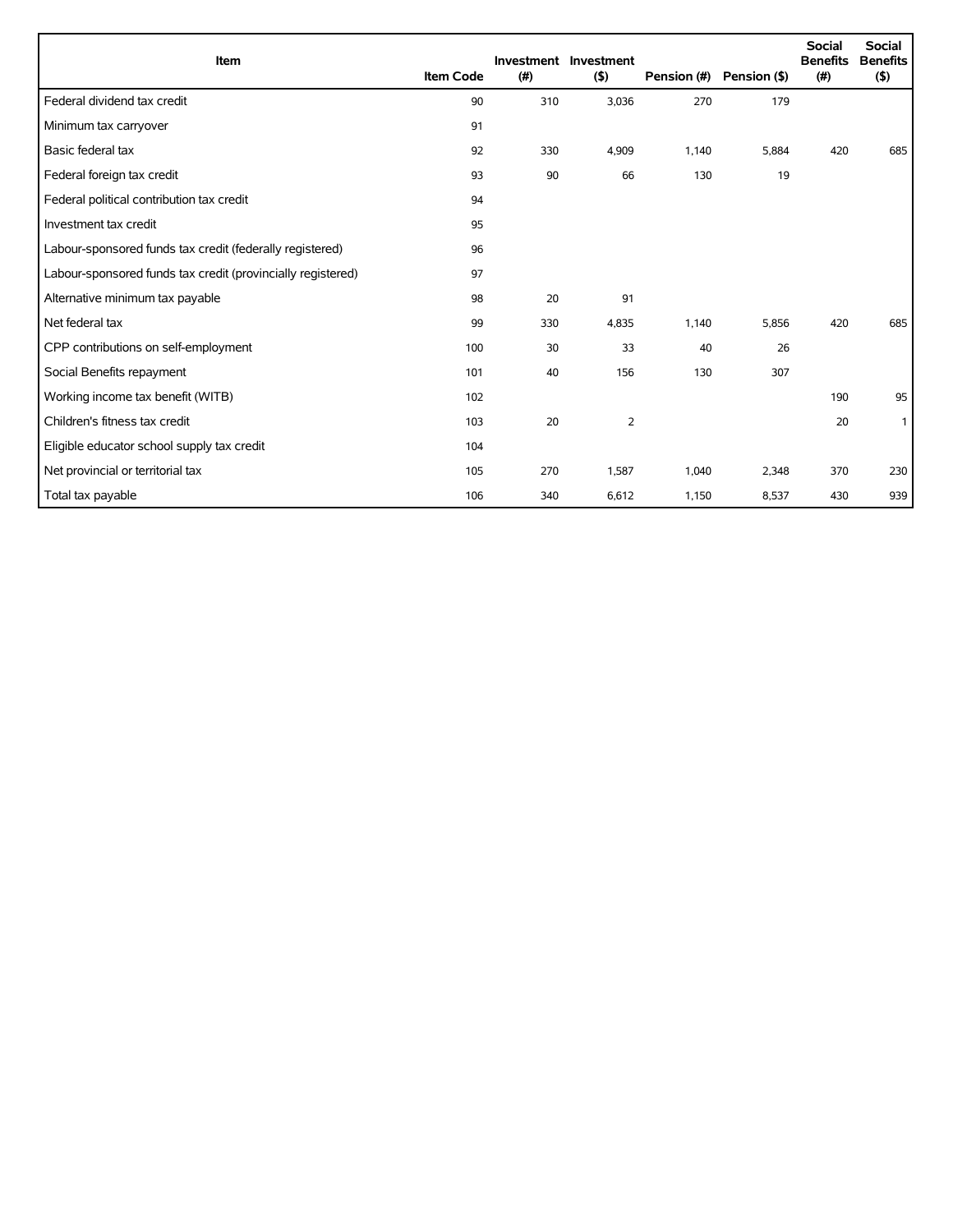| Item                                                        | <b>Item Code</b> | (#) | Investment Investment<br>(5) | Pension (#) | Pension (\$) | <b>Social</b><br><b>Benefits</b><br>(# ) | <b>Social</b><br><b>Benefits</b><br>(5) |
|-------------------------------------------------------------|------------------|-----|------------------------------|-------------|--------------|------------------------------------------|-----------------------------------------|
| Federal dividend tax credit                                 | 90               | 310 | 3,036                        | 270         | 179          |                                          |                                         |
| Minimum tax carryover                                       | 91               |     |                              |             |              |                                          |                                         |
| Basic federal tax                                           | 92               | 330 | 4,909                        | 1,140       | 5,884        | 420                                      | 685                                     |
| Federal foreign tax credit                                  | 93               | 90  | 66                           | 130         | 19           |                                          |                                         |
| Federal political contribution tax credit                   | 94               |     |                              |             |              |                                          |                                         |
| Investment tax credit                                       | 95               |     |                              |             |              |                                          |                                         |
| Labour-sponsored funds tax credit (federally registered)    | 96               |     |                              |             |              |                                          |                                         |
| Labour-sponsored funds tax credit (provincially registered) | 97               |     |                              |             |              |                                          |                                         |
| Alternative minimum tax payable                             | 98               | 20  | 91                           |             |              |                                          |                                         |
| Net federal tax                                             | 99               | 330 | 4,835                        | 1,140       | 5,856        | 420                                      | 685                                     |
| CPP contributions on self-employment                        | 100              | 30  | 33                           | 40          | 26           |                                          |                                         |
| Social Benefits repayment                                   | 101              | 40  | 156                          | 130         | 307          |                                          |                                         |
| Working income tax benefit (WITB)                           | 102              |     |                              |             |              | 190                                      | 95                                      |
| Children's fitness tax credit                               | 103              | 20  | 2                            |             |              | 20                                       | $\mathbf{1}$                            |
| Eligible educator school supply tax credit                  | 104              |     |                              |             |              |                                          |                                         |
| Net provincial or territorial tax                           | 105              | 270 | 1,587                        | 1,040       | 2,348        | 370                                      | 230                                     |
| Total tax payable                                           | 106              | 340 | 6,612                        | 1,150       | 8,537        | 430                                      | 939                                     |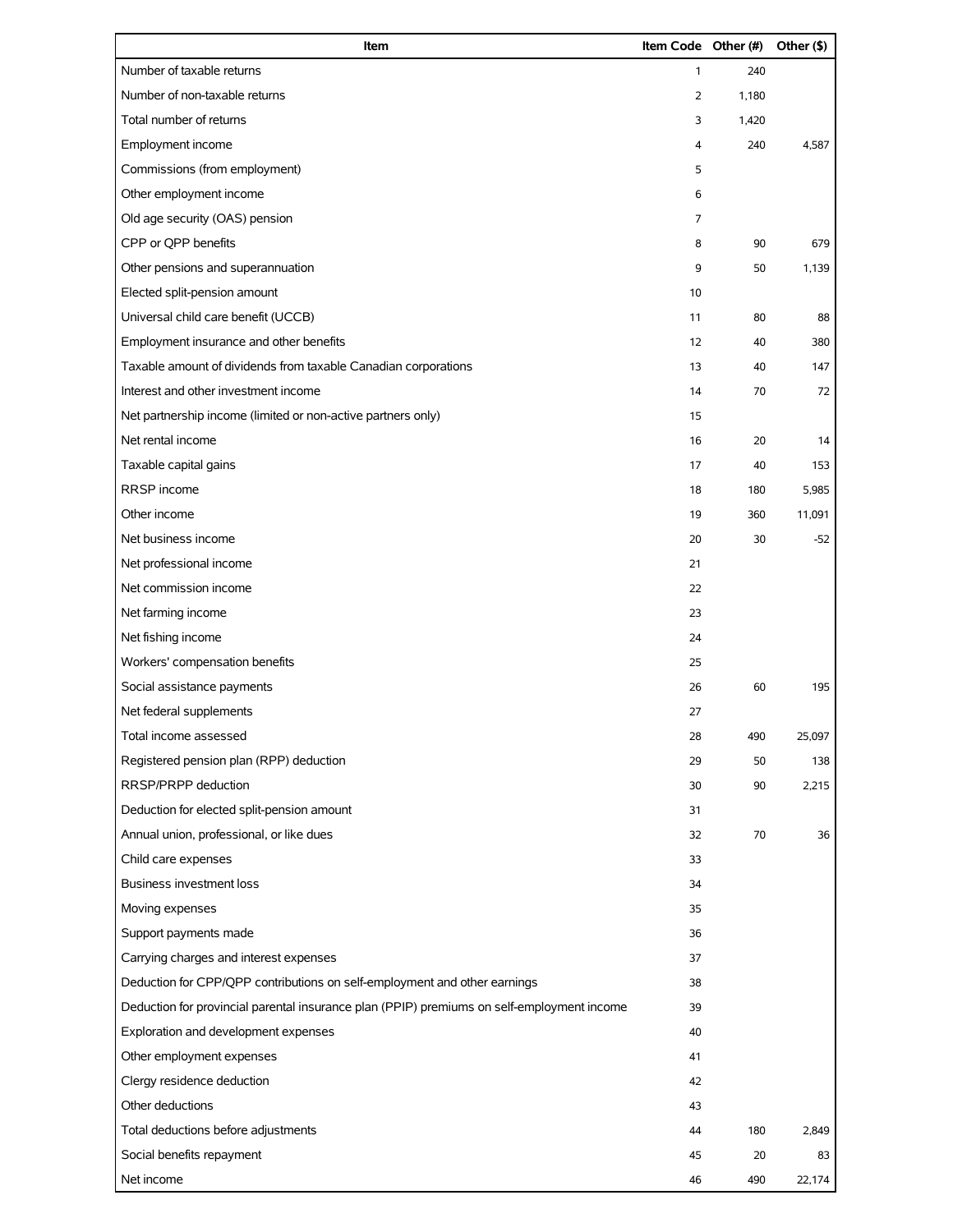| Item                                                                                       | Item Code Other (#) |       | Other (\$) |
|--------------------------------------------------------------------------------------------|---------------------|-------|------------|
| Number of taxable returns                                                                  | 1                   | 240   |            |
| Number of non-taxable returns                                                              | $\overline{2}$      | 1,180 |            |
| Total number of returns                                                                    | 3                   | 1,420 |            |
| Employment income                                                                          | 4                   | 240   | 4,587      |
| Commissions (from employment)                                                              | 5                   |       |            |
| Other employment income                                                                    | 6                   |       |            |
| Old age security (OAS) pension                                                             | 7                   |       |            |
| CPP or QPP benefits                                                                        | 8                   | 90    | 679        |
| Other pensions and superannuation                                                          | 9                   | 50    | 1,139      |
| Elected split-pension amount                                                               | 10                  |       |            |
| Universal child care benefit (UCCB)                                                        | 11                  | 80    | 88         |
| Employment insurance and other benefits                                                    | 12                  | 40    | 380        |
| Taxable amount of dividends from taxable Canadian corporations                             | 13                  | 40    | 147        |
| Interest and other investment income                                                       | 14                  | 70    | 72         |
| Net partnership income (limited or non-active partners only)                               | 15                  |       |            |
| Net rental income                                                                          | 16                  | 20    | 14         |
| Taxable capital gains                                                                      | 17                  | 40    | 153        |
| RRSP income                                                                                | 18                  | 180   | 5,985      |
| Other income                                                                               | 19                  | 360   | 11,091     |
| Net business income                                                                        | 20                  | 30    | $-52$      |
| Net professional income                                                                    | 21                  |       |            |
| Net commission income                                                                      | 22                  |       |            |
| Net farming income                                                                         | 23                  |       |            |
| Net fishing income                                                                         | 24                  |       |            |
| Workers' compensation benefits                                                             | 25                  |       |            |
| Social assistance payments                                                                 | 26                  | 60    | 195        |
| Net federal supplements                                                                    | 27                  |       |            |
| Total income assessed                                                                      | 28                  | 490   | 25,097     |
| Registered pension plan (RPP) deduction                                                    | 29                  | 50    | 138        |
| RRSP/PRPP deduction                                                                        | 30                  | 90    | 2,215      |
| Deduction for elected split-pension amount                                                 | 31                  |       |            |
| Annual union, professional, or like dues                                                   | 32                  | 70    | 36         |
| Child care expenses                                                                        | 33                  |       |            |
| <b>Business investment loss</b>                                                            | 34                  |       |            |
| Moving expenses                                                                            | 35                  |       |            |
| Support payments made                                                                      | 36                  |       |            |
| Carrying charges and interest expenses                                                     | 37                  |       |            |
| Deduction for CPP/QPP contributions on self-employment and other earnings                  | 38                  |       |            |
| Deduction for provincial parental insurance plan (PPIP) premiums on self-employment income | 39                  |       |            |
| Exploration and development expenses                                                       | 40                  |       |            |
| Other employment expenses                                                                  | 41                  |       |            |
| Clergy residence deduction                                                                 | 42                  |       |            |
| Other deductions                                                                           | 43                  |       |            |
| Total deductions before adjustments                                                        | 44                  | 180   | 2,849      |
| Social benefits repayment                                                                  | 45                  | 20    | 83         |
| Net income                                                                                 | 46                  | 490   | 22,174     |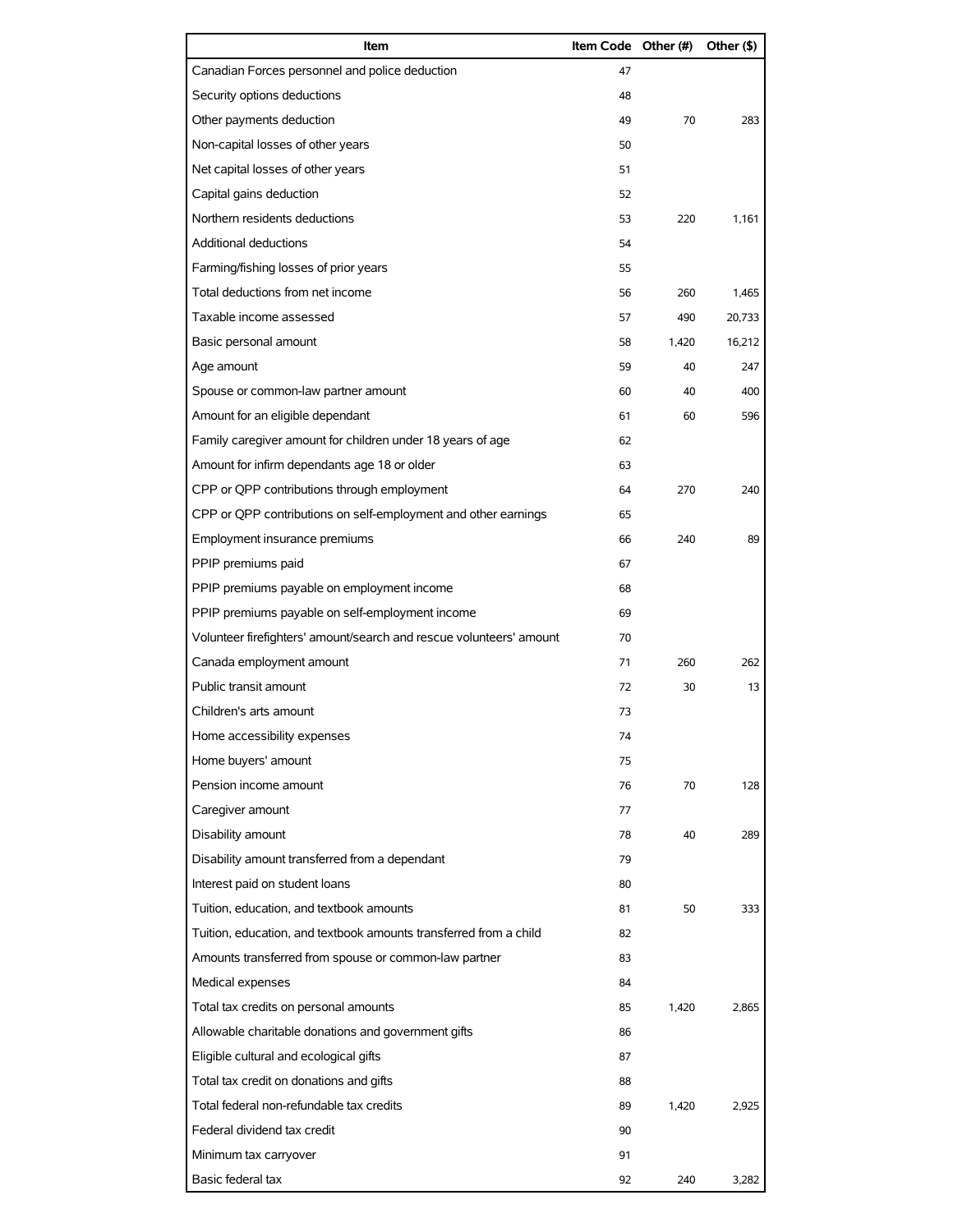| Item                                                                | Item Code Other (#) |       | Other (\$) |
|---------------------------------------------------------------------|---------------------|-------|------------|
| Canadian Forces personnel and police deduction                      | 47                  |       |            |
| Security options deductions                                         | 48                  |       |            |
| Other payments deduction                                            | 49                  | 70    | 283        |
| Non-capital losses of other years                                   | 50                  |       |            |
| Net capital losses of other years                                   | 51                  |       |            |
| Capital gains deduction                                             | 52                  |       |            |
| Northern residents deductions                                       | 53                  | 220   | 1,161      |
| Additional deductions                                               | 54                  |       |            |
| Farming/fishing losses of prior years                               | 55                  |       |            |
| Total deductions from net income                                    | 56                  | 260   | 1,465      |
| Taxable income assessed                                             | 57                  | 490   | 20,733     |
| Basic personal amount                                               | 58                  | 1,420 | 16.212     |
| Age amount                                                          | 59                  | 40    | 247        |
| Spouse or common-law partner amount                                 | 60                  | 40    | 400        |
| Amount for an eligible dependant                                    | 61                  | 60    | 596        |
| Family caregiver amount for children under 18 years of age          | 62                  |       |            |
| Amount for infirm dependants age 18 or older                        | 63                  |       |            |
| CPP or QPP contributions through employment                         | 64                  | 270   | 240        |
| CPP or QPP contributions on self-employment and other earnings      | 65                  |       |            |
| Employment insurance premiums                                       | 66                  | 240   | 89         |
| PPIP premiums paid                                                  | 67                  |       |            |
| PPIP premiums payable on employment income                          | 68                  |       |            |
| PPIP premiums payable on self-employment income                     | 69                  |       |            |
| Volunteer firefighters' amount/search and rescue volunteers' amount | 70                  |       |            |
| Canada employment amount                                            | 71                  | 260   | 262        |
| Public transit amount                                               | 72                  | 30    | 13         |
| Children's arts amount                                              | 73                  |       |            |
| Home accessibility expenses                                         | 74                  |       |            |
| Home buyers' amount                                                 | 75                  |       |            |
| Pension income amount                                               | 76                  | 70    | 128        |
| Caregiver amount                                                    | 77                  |       |            |
| Disability amount                                                   | 78                  | 40    | 289        |
| Disability amount transferred from a dependant                      | 79                  |       |            |
| Interest paid on student loans                                      | 80                  |       |            |
| Tuition, education, and textbook amounts                            | 81                  | 50    | 333        |
| Tuition, education, and textbook amounts transferred from a child   | 82                  |       |            |
| Amounts transferred from spouse or common-law partner               | 83                  |       |            |
| Medical expenses                                                    | 84                  |       |            |
| Total tax credits on personal amounts                               | 85                  | 1,420 | 2,865      |
| Allowable charitable donations and government gifts                 | 86                  |       |            |
| Eligible cultural and ecological gifts                              | 87                  |       |            |
| Total tax credit on donations and gifts                             | 88                  |       |            |
| Total federal non-refundable tax credits                            | 89                  | 1,420 | 2,925      |
| Federal dividend tax credit                                         | 90                  |       |            |
| Minimum tax carryover                                               | 91                  |       |            |
| Basic federal tax                                                   | 92                  | 240   | 3,282      |